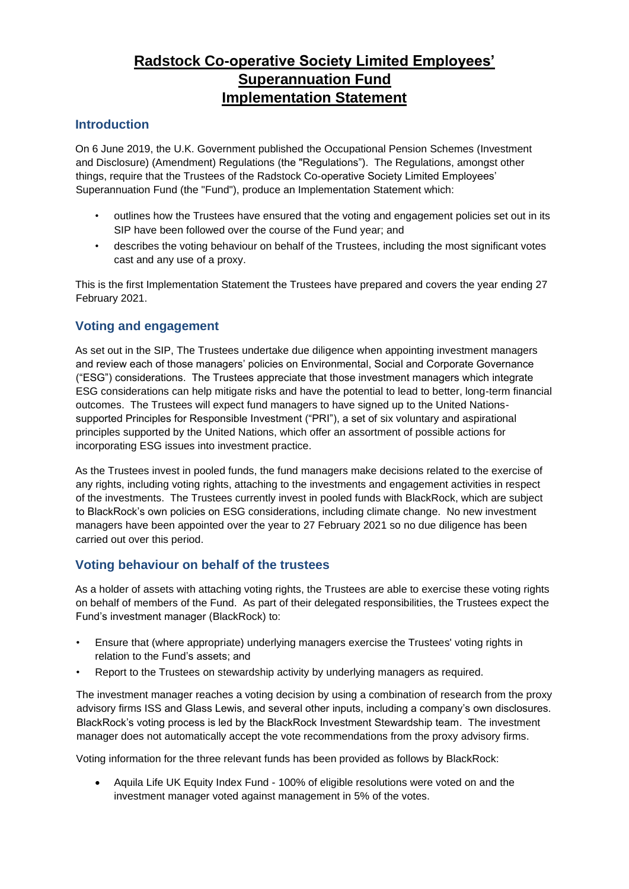# **Radstock Co-operative Society Limited Employees' Superannuation Fund Implementation Statement**

## **Introduction**

On 6 June 2019, the U.K. Government published [the Occupational Pension Schemes \(Investment](http://www.legislation.gov.uk/uksi/2019/982/contents/made)  [and Disclosure\) \(Amendment\) Regulations \(](http://www.legislation.gov.uk/uksi/2019/982/contents/made)the "Regulations"). The Regulations, amongst other things, require that the Trustees of the Radstock Co-operative Society Limited Employees' Superannuation Fund (the "Fund"), produce an Implementation Statement which:

- outlines how the Trustees have ensured that the voting and engagement policies set out in its SIP have been followed over the course of the Fund year; and
- describes the voting behaviour on behalf of the Trustees, including the most significant votes cast and any use of a proxy.

This is the first Implementation Statement the Trustees have prepared and covers the year ending 27 February 2021.

# **Voting and engagement**

As set out in the SIP, The Trustees undertake due diligence when appointing investment managers and review each of those managers' policies on Environmental, Social and Corporate Governance ("ESG") considerations. The Trustees appreciate that those investment managers which integrate ESG considerations can help mitigate risks and have the potential to lead to better, long-term financial outcomes. The Trustees will expect fund managers to have signed up to the United Nationssupported Principles for Responsible Investment ("PRI"), a set of six voluntary and aspirational principles supported by the United Nations, which offer an assortment of possible actions for incorporating ESG issues into investment practice.

As the Trustees invest in pooled funds, the fund managers make decisions related to the exercise of any rights, including voting rights, attaching to the investments and engagement activities in respect of the investments. The Trustees currently invest in pooled funds with BlackRock, which are subject to BlackRock's own policies on ESG considerations, including climate change. No new investment managers have been appointed over the year to 27 February 2021 so no due diligence has been carried out over this period.

## **Voting behaviour on behalf of the trustees**

As a holder of assets with attaching voting rights, the Trustees are able to exercise these voting rights on behalf of members of the Fund. As part of their delegated responsibilities, the Trustees expect the Fund's investment manager (BlackRock) to:

- Ensure that (where appropriate) underlying managers exercise the Trustees' voting rights in relation to the Fund's assets; and
- Report to the Trustees on stewardship activity by underlying managers as required.

The investment manager reaches a voting decision by using a combination of research from the proxy advisory firms ISS and Glass Lewis, and several other inputs, including a company's own disclosures. BlackRock's voting process is led by the BlackRock Investment Stewardship team. The investment manager does not automatically accept the vote recommendations from the proxy advisory firms.

Voting information for the three relevant funds has been provided as follows by BlackRock:

• Aquila Life UK Equity Index Fund - 100% of eligible resolutions were voted on and the investment manager voted against management in 5% of the votes.